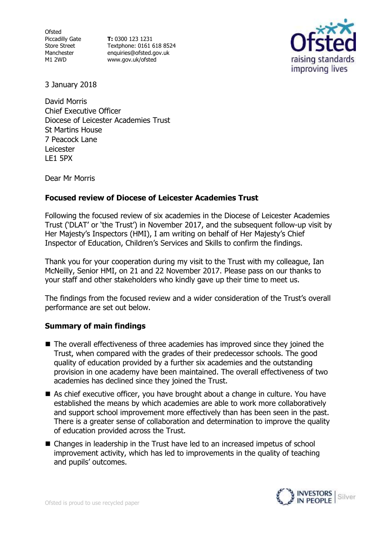**Ofsted** Piccadilly Gate Store Street Manchester M1 2WD

**T:** 0300 123 1231 Textphone: 0161 618 8524 enquiries@ofsted.gov.uk [www.gov.uk/ofsted](http://www.gov.uk/ofsted)



3 January 2018

David Morris Chief Executive Officer Diocese of Leicester Academies Trust St Martins House 7 Peacock Lane Leicester LE1 5PX

Dear Mr Morris

# **Focused review of Diocese of Leicester Academies Trust**

Following the focused review of six academies in the Diocese of Leicester Academies Trust ('DLAT' or 'the Trust') in November 2017, and the subsequent follow-up visit by Her Majesty's Inspectors (HMI), I am writing on behalf of Her Majesty's Chief Inspector of Education, Children's Services and Skills to confirm the findings.

Thank you for your cooperation during my visit to the Trust with my colleague, Ian McNeilly, Senior HMI, on 21 and 22 November 2017. Please pass on our thanks to your staff and other stakeholders who kindly gave up their time to meet us.

The findings from the focused review and a wider consideration of the Trust's overall performance are set out below.

## **Summary of main findings**

- The overall effectiveness of three academies has improved since they joined the Trust, when compared with the grades of their predecessor schools. The good quality of education provided by a further six academies and the outstanding provision in one academy have been maintained. The overall effectiveness of two academies has declined since they joined the Trust.
- As chief executive officer, you have brought about a change in culture. You have established the means by which academies are able to work more collaboratively and support school improvement more effectively than has been seen in the past. There is a greater sense of collaboration and determination to improve the quality of education provided across the Trust.
- Changes in leadership in the Trust have led to an increased impetus of school improvement activity, which has led to improvements in the quality of teaching and pupils' outcomes.

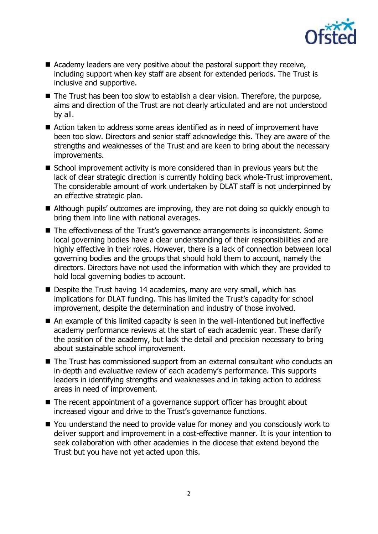

- Academy leaders are very positive about the pastoral support they receive, including support when key staff are absent for extended periods. The Trust is inclusive and supportive.
- The Trust has been too slow to establish a clear vision. Therefore, the purpose, aims and direction of the Trust are not clearly articulated and are not understood by all.
- Action taken to address some areas identified as in need of improvement have been too slow. Directors and senior staff acknowledge this. They are aware of the strengths and weaknesses of the Trust and are keen to bring about the necessary improvements.
- School improvement activity is more considered than in previous years but the lack of clear strategic direction is currently holding back whole-Trust improvement. The considerable amount of work undertaken by DLAT staff is not underpinned by an effective strategic plan.
- Although pupils' outcomes are improving, they are not doing so quickly enough to bring them into line with national averages.
- The effectiveness of the Trust's governance arrangements is inconsistent. Some local governing bodies have a clear understanding of their responsibilities and are highly effective in their roles. However, there is a lack of connection between local governing bodies and the groups that should hold them to account, namely the directors. Directors have not used the information with which they are provided to hold local governing bodies to account.
- Despite the Trust having 14 academies, many are very small, which has implications for DLAT funding. This has limited the Trust's capacity for school improvement, despite the determination and industry of those involved.
- An example of this limited capacity is seen in the well-intentioned but ineffective academy performance reviews at the start of each academic year. These clarify the position of the academy, but lack the detail and precision necessary to bring about sustainable school improvement.
- The Trust has commissioned support from an external consultant who conducts an in-depth and evaluative review of each academy's performance. This supports leaders in identifying strengths and weaknesses and in taking action to address areas in need of improvement.
- The recent appointment of a governance support officer has brought about increased vigour and drive to the Trust's governance functions.
- You understand the need to provide value for money and you consciously work to deliver support and improvement in a cost-effective manner. It is your intention to seek collaboration with other academies in the diocese that extend beyond the Trust but you have not yet acted upon this.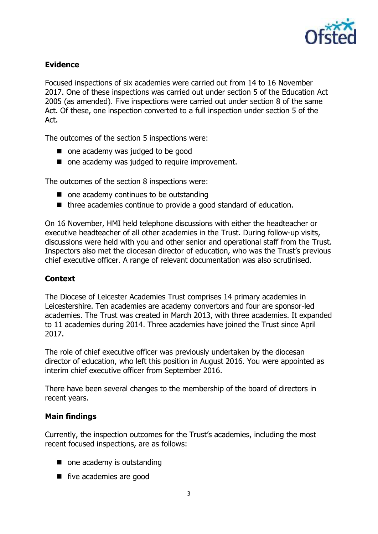

# **Evidence**

Focused inspections of six academies were carried out from 14 to 16 November 2017. One of these inspections was carried out under section 5 of the Education Act 2005 (as amended). Five inspections were carried out under section 8 of the same Act. Of these, one inspection converted to a full inspection under section 5 of the Act.

The outcomes of the section 5 inspections were:

- one academy was judged to be good
- one academy was judged to require improvement.

The outcomes of the section 8 inspections were:

- one academy continues to be outstanding
- three academies continue to provide a good standard of education.

On 16 November, HMI held telephone discussions with either the headteacher or executive headteacher of all other academies in the Trust. During follow-up visits, discussions were held with you and other senior and operational staff from the Trust. Inspectors also met the diocesan director of education, who was the Trust's previous chief executive officer. A range of relevant documentation was also scrutinised.

## **Context**

The Diocese of Leicester Academies Trust comprises 14 primary academies in Leicestershire. Ten academies are academy convertors and four are sponsor-led academies. The Trust was created in March 2013, with three academies. It expanded to 11 academies during 2014. Three academies have joined the Trust since April 2017.

The role of chief executive officer was previously undertaken by the diocesan director of education, who left this position in August 2016. You were appointed as interim chief executive officer from September 2016.

There have been several changes to the membership of the board of directors in recent years.

## **Main findings**

Currently, the inspection outcomes for the Trust's academies, including the most recent focused inspections, are as follows:

- one academy is outstanding
- five academies are good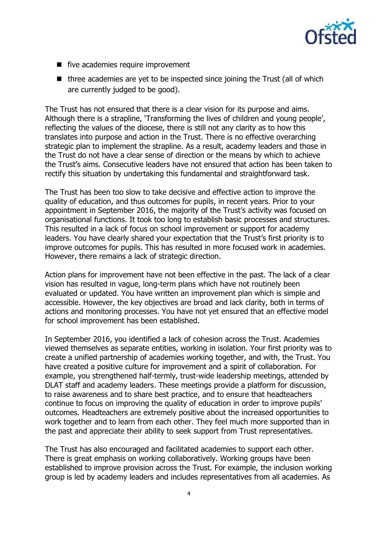

- five academies require improvement
- $\blacksquare$  three academies are yet to be inspected since joining the Trust (all of which are currently judged to be good).

The Trust has not ensured that there is a clear vision for its purpose and aims. Although there is a strapline, 'Transforming the lives of children and young people', reflecting the values of the diocese, there is still not any clarity as to how this translates into purpose and action in the Trust. There is no effective overarching strategic plan to implement the strapline. As a result, academy leaders and those in the Trust do not have a clear sense of direction or the means by which to achieve the Trust's aims. Consecutive leaders have not ensured that action has been taken to rectify this situation by undertaking this fundamental and straightforward task.

The Trust has been too slow to take decisive and effective action to improve the quality of education, and thus outcomes for pupils, in recent years. Prior to your appointment in September 2016, the majority of the Trust's activity was focused on organisational functions. It took too long to establish basic processes and structures. This resulted in a lack of focus on school improvement or support for academy leaders. You have clearly shared your expectation that the Trust's first priority is to improve outcomes for pupils. This has resulted in more focused work in academies. However, there remains a lack of strategic direction.

Action plans for improvement have not been effective in the past. The lack of a clear vision has resulted in vague, long-term plans which have not routinely been evaluated or updated. You have written an improvement plan which is simple and accessible. However, the key objectives are broad and lack clarity, both in terms of actions and monitoring processes. You have not yet ensured that an effective model for school improvement has been established.

In September 2016, you identified a lack of cohesion across the Trust. Academies viewed themselves as separate entities, working in isolation. Your first priority was to create a unified partnership of academies working together, and with, the Trust. You have created a positive culture for improvement and a spirit of collaboration. For example, you strengthened half-termly, trust-wide leadership meetings, attended by DLAT staff and academy leaders. These meetings provide a platform for discussion, to raise awareness and to share best practice, and to ensure that headteachers continue to focus on improving the quality of education in order to improve pupils' outcomes. Headteachers are extremely positive about the increased opportunities to work together and to learn from each other. They feel much more supported than in the past and appreciate their ability to seek support from Trust representatives.

The Trust has also encouraged and facilitated academies to support each other. There is great emphasis on working collaboratively. Working groups have been established to improve provision across the Trust. For example, the inclusion working group is led by academy leaders and includes representatives from all academies. As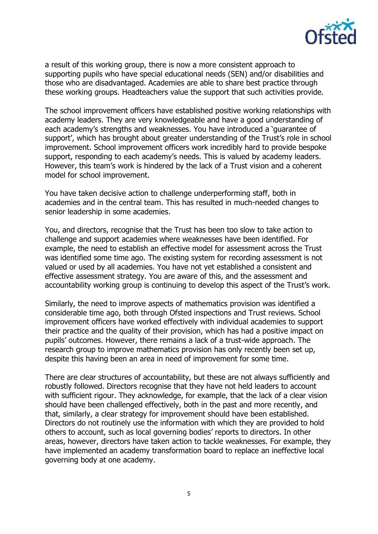

a result of this working group, there is now a more consistent approach to supporting pupils who have special educational needs (SEN) and/or disabilities and those who are disadvantaged. Academies are able to share best practice through these working groups. Headteachers value the support that such activities provide.

The school improvement officers have established positive working relationships with academy leaders. They are very knowledgeable and have a good understanding of each academy's strengths and weaknesses. You have introduced a 'guarantee of support', which has brought about greater understanding of the Trust's role in school improvement. School improvement officers work incredibly hard to provide bespoke support, responding to each academy's needs. This is valued by academy leaders. However, this team's work is hindered by the lack of a Trust vision and a coherent model for school improvement.

You have taken decisive action to challenge underperforming staff, both in academies and in the central team. This has resulted in much-needed changes to senior leadership in some academies.

You, and directors, recognise that the Trust has been too slow to take action to challenge and support academies where weaknesses have been identified. For example, the need to establish an effective model for assessment across the Trust was identified some time ago. The existing system for recording assessment is not valued or used by all academies. You have not yet established a consistent and effective assessment strategy. You are aware of this, and the assessment and accountability working group is continuing to develop this aspect of the Trust's work.

Similarly, the need to improve aspects of mathematics provision was identified a considerable time ago, both through Ofsted inspections and Trust reviews. School improvement officers have worked effectively with individual academies to support their practice and the quality of their provision, which has had a positive impact on pupils' outcomes. However, there remains a lack of a trust-wide approach. The research group to improve mathematics provision has only recently been set up, despite this having been an area in need of improvement for some time.

There are clear structures of accountability, but these are not always sufficiently and robustly followed. Directors recognise that they have not held leaders to account with sufficient rigour. They acknowledge, for example, that the lack of a clear vision should have been challenged effectively, both in the past and more recently, and that, similarly, a clear strategy for improvement should have been established. Directors do not routinely use the information with which they are provided to hold others to account, such as local governing bodies' reports to directors. In other areas, however, directors have taken action to tackle weaknesses. For example, they have implemented an academy transformation board to replace an ineffective local governing body at one academy.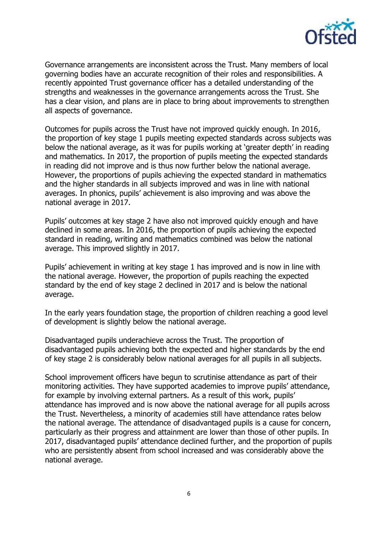

Governance arrangements are inconsistent across the Trust. Many members of local governing bodies have an accurate recognition of their roles and responsibilities. A recently appointed Trust governance officer has a detailed understanding of the strengths and weaknesses in the governance arrangements across the Trust. She has a clear vision, and plans are in place to bring about improvements to strengthen all aspects of governance.

Outcomes for pupils across the Trust have not improved quickly enough. In 2016, the proportion of key stage 1 pupils meeting expected standards across subjects was below the national average, as it was for pupils working at 'greater depth' in reading and mathematics. In 2017, the proportion of pupils meeting the expected standards in reading did not improve and is thus now further below the national average. However, the proportions of pupils achieving the expected standard in mathematics and the higher standards in all subjects improved and was in line with national averages. In phonics, pupils' achievement is also improving and was above the national average in 2017.

Pupils' outcomes at key stage 2 have also not improved quickly enough and have declined in some areas. In 2016, the proportion of pupils achieving the expected standard in reading, writing and mathematics combined was below the national average. This improved slightly in 2017.

Pupils' achievement in writing at key stage 1 has improved and is now in line with the national average. However, the proportion of pupils reaching the expected standard by the end of key stage 2 declined in 2017 and is below the national average.

In the early years foundation stage, the proportion of children reaching a good level of development is slightly below the national average.

Disadvantaged pupils underachieve across the Trust. The proportion of disadvantaged pupils achieving both the expected and higher standards by the end of key stage 2 is considerably below national averages for all pupils in all subjects.

School improvement officers have begun to scrutinise attendance as part of their monitoring activities. They have supported academies to improve pupils' attendance, for example by involving external partners. As a result of this work, pupils' attendance has improved and is now above the national average for all pupils across the Trust. Nevertheless, a minority of academies still have attendance rates below the national average. The attendance of disadvantaged pupils is a cause for concern, particularly as their progress and attainment are lower than those of other pupils. In 2017, disadvantaged pupils' attendance declined further, and the proportion of pupils who are persistently absent from school increased and was considerably above the national average.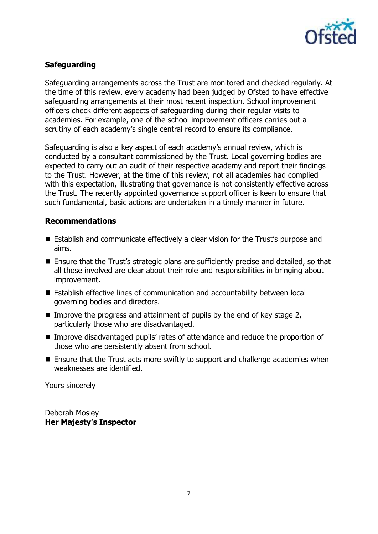

# **Safeguarding**

Safeguarding arrangements across the Trust are monitored and checked regularly. At the time of this review, every academy had been judged by Ofsted to have effective safeguarding arrangements at their most recent inspection. School improvement officers check different aspects of safeguarding during their regular visits to academies. For example, one of the school improvement officers carries out a scrutiny of each academy's single central record to ensure its compliance.

Safeguarding is also a key aspect of each academy's annual review, which is conducted by a consultant commissioned by the Trust. Local governing bodies are expected to carry out an audit of their respective academy and report their findings to the Trust. However, at the time of this review, not all academies had complied with this expectation, illustrating that governance is not consistently effective across the Trust. The recently appointed governance support officer is keen to ensure that such fundamental, basic actions are undertaken in a timely manner in future.

#### **Recommendations**

- Establish and communicate effectively a clear vision for the Trust's purpose and aims.
- Ensure that the Trust's strategic plans are sufficiently precise and detailed, so that all those involved are clear about their role and responsibilities in bringing about improvement.
- Establish effective lines of communication and accountability between local governing bodies and directors.
- Improve the progress and attainment of pupils by the end of key stage  $2$ , particularly those who are disadvantaged.
- Improve disadvantaged pupils' rates of attendance and reduce the proportion of those who are persistently absent from school.
- Ensure that the Trust acts more swiftly to support and challenge academies when weaknesses are identified.

Yours sincerely

Deborah Mosley **Her Majesty's Inspector**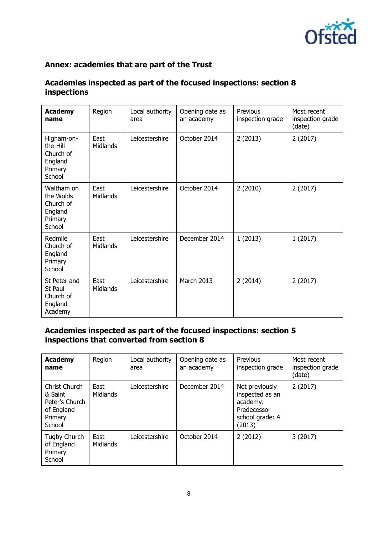

# **Annex: academies that are part of the Trust**

# **Academies inspected as part of the focused inspections: section 8 inspections**

| <b>Academy</b><br>name                                               | Region                  | Local authority<br>area | Opening date as<br>an academy | Previous<br>inspection grade | Most recent<br>inspection grade<br>(date) |
|----------------------------------------------------------------------|-------------------------|-------------------------|-------------------------------|------------------------------|-------------------------------------------|
| Higham-on-<br>the-Hill<br>Church of<br>England<br>Primary<br>School  | East<br>Midlands        | Leicestershire          | October 2014                  | 2(2013)                      | 2(2017)                                   |
| Waltham on<br>the Wolds<br>Church of<br>England<br>Primary<br>School | East<br>Midlands        | Leicestershire          | October 2014                  | 2(2010)                      | 2(2017)                                   |
| Redmile<br>Church of<br>England<br>Primary<br>School                 | East<br>Midlands        | Leicestershire          | December 2014                 | 1(2013)                      | 1(2017)                                   |
| St Peter and<br>St Paul<br>Church of<br>England<br>Academy           | East<br><b>Midlands</b> | Leicestershire          | March 2013                    | 2(2014)                      | 2(2017)                                   |

# **Academies inspected as part of the focused inspections: section 5 inspections that converted from section 8**

| <b>Academy</b><br>name                                                        | Region                  | Local authority<br>area | Opening date as<br>an academy | Previous<br>inspection grade                                                              | Most recent<br>inspection grade<br>(date) |
|-------------------------------------------------------------------------------|-------------------------|-------------------------|-------------------------------|-------------------------------------------------------------------------------------------|-------------------------------------------|
| Christ Church<br>& Saint<br>Peter's Church<br>of England<br>Primary<br>School | East<br><b>Midlands</b> | Leicestershire          | December 2014                 | Not previously<br>inspected as an<br>academy.<br>Predecessor<br>school grade: 4<br>(2013) | 2(2017)                                   |
| Tugby Church<br>of England<br>Primary<br>School                               | East<br><b>Midlands</b> | Leicestershire          | October 2014                  | 2(2012)                                                                                   | 3(2017)                                   |